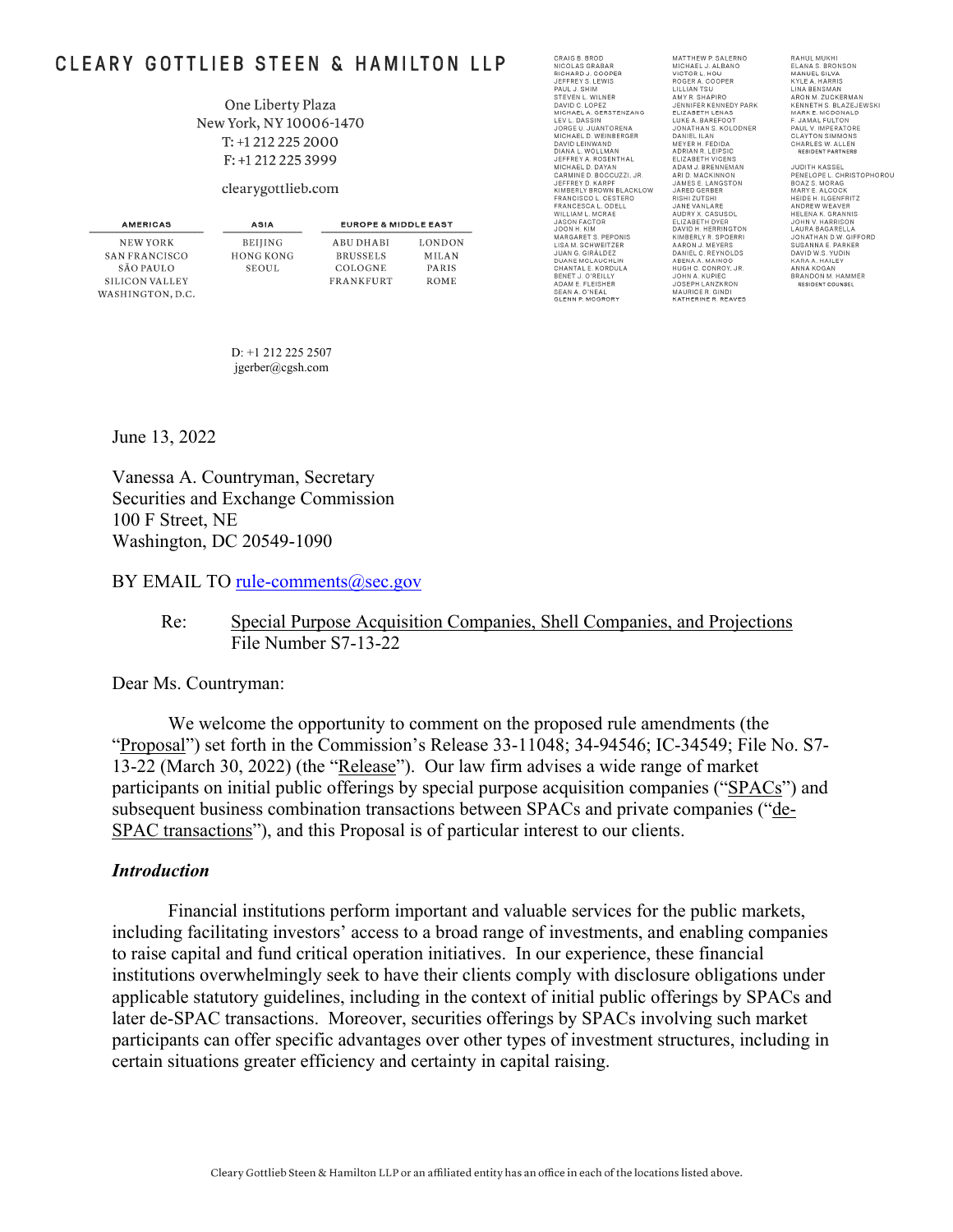# CLEARY GOTTLIEB STEEN & HAMILTON LLP

### One Liberty Plaza New York, NY 10006-1470 T: +1 212 225 2000 F: +1 212 225 3999

#### clearygottlieb.com

| <b>AMERICAS</b>  | ASIA           | <b>EUROPE &amp; MIDDLE EAST</b> |               |
|------------------|----------------|---------------------------------|---------------|
| <b>NEW YORK</b>  | <b>BEIJING</b> | ABU DHABI                       | <b>LONDON</b> |
| SAN FRANCISCO    | HONG KONG      | <b>BRUSSELS</b>                 | <b>MILAN</b>  |
| SÃO PAULO        | SEOUL.         | COLOGNE                         | PARIS         |
| SILICON VALLEY   |                | <b>FRANKFURT</b>                | <b>ROME</b>   |
| WASHINGTON, D.C. |                |                                 |               |

CRAIG B. BROD<br>NICOLAS GRABAR<br>RICHARD J. COOPE<br>JEFFREY S. LEWIS<br>PAUL J. SHIM .<br>PER STEVEN L. WILNER DAVID C. LOPEZ<br>MICHAEL A. GERSTENZANG LEV L. DASSIN LEV L. DASSIN<br>JORGE U. JUANTORENA<br>MICHAEL D. WEINBERGER<br>DAVID LEINWAND<br>DIANA L. WOLLMAN<br>JEFFREY A. ROSENTHAL JEFFREY A. ROSENTHAL<br>MICHAEL D. DAYAN<br>CARMINE D. BOCCUZZI, JR.<br>JEFFREY D. KARPF JEFFREY D. KARPF<br>KIMBERLY BROWN BLACKLOW<br>FRANCISCO L. CESTERO<br>FRANCISCO L. COELL<br>WILLIAM L. MCRAE<br>JASON FACTOR<br>JASON FACTOR<br>MARGARET S. PEPONIS<br>MARGARET S. PEPONIS LISA M. SCHWEITZER JUAN G. GIRÁLDEZ<br>DUANE MCLAUGHLIN CHANTAL E. KORDULA **BENET J. O'REILLY<br>ADAM E. FLEISHER<br>SEAN A. O'NEAL<br>GLENN P. MCGRORY** 

MATTHEW P. SALERNO<br>MICHAEL J. ALBANO<br>VICTOR L. HOU<br>ROGER A. COOPER<br>LILLIAN TSU AMY R. SHAPIRO AMT RESHAPING<br>JENNIFER KENNEDY PARK<br>ELIZABETH LENAS<br>LUKE A. BAREFOOT LUKE A. BAREFOOT<br>JONATHAN S. KOLODNER<br>DANIEL ILAN<br>MEYER H. FEDIDA<br>ADRIAN R. LEIPSIC<br>ELIZABETH VICENS<br>ADAM J. BRENNEMAN ADAM J. BRENNEMAN<br>JAMES E. LANGSTON<br>JAMES E. LANGSTON JARED GERBER<br>RISHIZUTSHI<br>RISHIZUTSHI<br>ANE YANLARE<br>ELIZABETH DYER<br>ELIZABETH DYER<br>KIMBERLY R. SPOERRI<br>ANIGH C. CREYNOLDS<br>DANIEL C. REYNOLDS<br>ABENA A MAIROO JIR<br>ABENA A MAIROO<br>ABENA A MAIROO ABENA A. MAINOO<br>HUGH C. CONROY, JR.<br>JOHN A. KUPIEC<br>JOSEPH LANZKRON<br>MAURICE R. GINDI<br>KATHERINE R. REAVES

RAHUL MUKHI<br>ELANA S. BRONSON<br>MANUEL SILVA<br>KYLE A. HARRIS<br>LINA BENSMAN<br>ARON M. ZUCKERMAN KENNETH S. BLAZEJEWSKI<br>MARK E. MCDONALD MARK E. MUDUNALD<br>FAUL V. IMPERATORE<br>CLAYTON SIMMONS<br>CHARLES W. ALLEN<br>RESIDENT PARTNERS

**JUDITH KASSEL PENELOPE L. CHRISTOPHOROU<br>BOAZ S. MORAG<br>MARY E. ALCOCK** MARY E. ALCOCK<br>HEIDE H. ILGENFRITZ<br>ANDREW WEAVER<br>JELENA K. GRANNIS<br>JOHN V. HARRISON<br>LAURA BAGARELLA<br>JONATHAN D.W. GIFFORD<br>SUSANNA E. PARKER<br>SUSANNA E. PARKER<br>SUSANNA E. PARKER DAVID W.S. YUDIN KARA A. HAILEY ANNA KOGAN<br>BRANDON M. HAMMER<br>RESIDENT COUNSEL

D: +1 212 225 2507 jgerber@cgsh.com

June 13, 2022

Vanessa A. Countryman, Secretary Securities and Exchange Commission 100 F Street, NE Washington, DC 20549-1090

BY EMAIL TO rule-comments@sec.gov

Re: Special Purpose Acquisition Companies, Shell Companies, and Projections File Number S7-13-22

Dear Ms. Countryman:

 We welcome the opportunity to comment on the proposed rule amendments (the "Proposal") set forth in the Commission's Release 33-11048; 34-94546; IC-34549; File No. S7- 13-22 (March 30, 2022) (the "Release"). Our law firm advises a wide range of market participants on initial public offerings by special purpose acquisition companies ("SPACs") and subsequent business combination transactions between SPACs and private companies ("de-SPAC transactions"), and this Proposal is of particular interest to our clients.

#### *Introduction*

 Financial institutions perform important and valuable services for the public markets, including facilitating investors' access to a broad range of investments, and enabling companies to raise capital and fund critical operation initiatives. In our experience, these financial institutions overwhelmingly seek to have their clients comply with disclosure obligations under applicable statutory guidelines, including in the context of initial public offerings by SPACs and later de-SPAC transactions. Moreover, securities offerings by SPACs involving such market participants can offer specific advantages over other types of investment structures, including in certain situations greater efficiency and certainty in capital raising.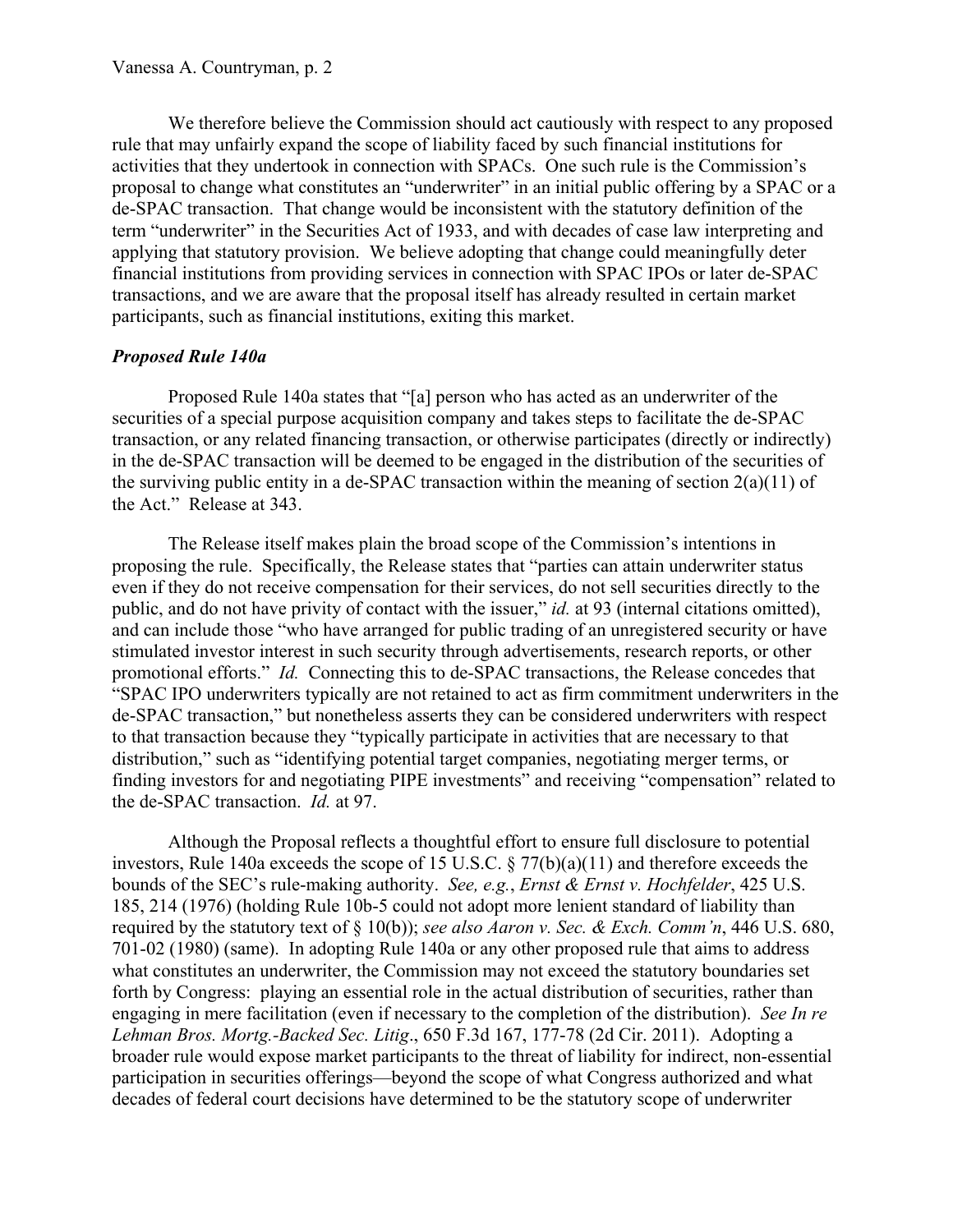We therefore believe the Commission should act cautiously with respect to any proposed rule that may unfairly expand the scope of liability faced by such financial institutions for activities that they undertook in connection with SPACs. One such rule is the Commission's proposal to change what constitutes an "underwriter" in an initial public offering by a SPAC or a de-SPAC transaction. That change would be inconsistent with the statutory definition of the term "underwriter" in the Securities Act of 1933, and with decades of case law interpreting and applying that statutory provision. We believe adopting that change could meaningfully deter financial institutions from providing services in connection with SPAC IPOs or later de-SPAC transactions, and we are aware that the proposal itself has already resulted in certain market participants, such as financial institutions, exiting this market.

### *Proposed Rule 140a*

Proposed Rule 140a states that "[a] person who has acted as an underwriter of the securities of a special purpose acquisition company and takes steps to facilitate the de-SPAC transaction, or any related financing transaction, or otherwise participates (directly or indirectly) in the de-SPAC transaction will be deemed to be engaged in the distribution of the securities of the surviving public entity in a de-SPAC transaction within the meaning of section  $2(a)(11)$  of the Act." Release at 343.

 The Release itself makes plain the broad scope of the Commission's intentions in proposing the rule. Specifically, the Release states that "parties can attain underwriter status even if they do not receive compensation for their services, do not sell securities directly to the public, and do not have privity of contact with the issuer," *id.* at 93 (internal citations omitted), and can include those "who have arranged for public trading of an unregistered security or have stimulated investor interest in such security through advertisements, research reports, or other promotional efforts." *Id.* Connecting this to de-SPAC transactions, the Release concedes that "SPAC IPO underwriters typically are not retained to act as firm commitment underwriters in the de-SPAC transaction," but nonetheless asserts they can be considered underwriters with respect to that transaction because they "typically participate in activities that are necessary to that distribution," such as "identifying potential target companies, negotiating merger terms, or finding investors for and negotiating PIPE investments" and receiving "compensation" related to the de-SPAC transaction. *Id.* at 97.

 Although the Proposal reflects a thoughtful effort to ensure full disclosure to potential investors, Rule 140a exceeds the scope of 15 U.S.C. § 77(b)(a)(11) and therefore exceeds the bounds of the SEC's rule-making authority. *See, e.g.*, *Ernst & Ernst v. Hochfelder*, 425 U.S. 185, 214 (1976) (holding Rule 10b-5 could not adopt more lenient standard of liability than required by the statutory text of § 10(b)); *see also Aaron v. Sec. & Exch. Comm'n*, 446 U.S. 680, 701-02 (1980) (same). In adopting Rule 140a or any other proposed rule that aims to address what constitutes an underwriter, the Commission may not exceed the statutory boundaries set forth by Congress: playing an essential role in the actual distribution of securities, rather than engaging in mere facilitation (even if necessary to the completion of the distribution). *See In re Lehman Bros. Mortg.-Backed Sec. Litig*., 650 F.3d 167, 177-78 (2d Cir. 2011). Adopting a broader rule would expose market participants to the threat of liability for indirect, non-essential participation in securities offerings—beyond the scope of what Congress authorized and what decades of federal court decisions have determined to be the statutory scope of underwriter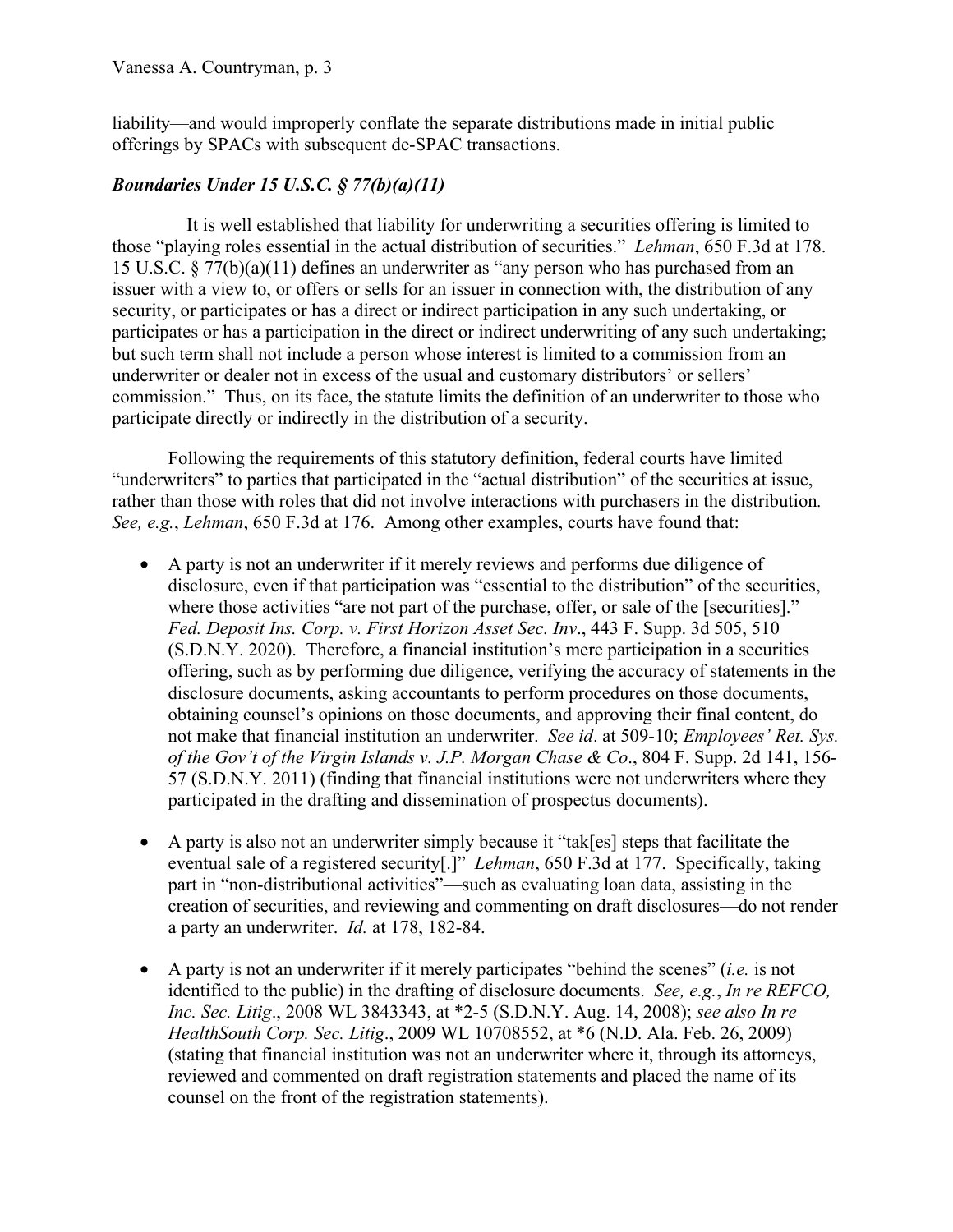### Vanessa A. Countryman, p. 3

liability—and would improperly conflate the separate distributions made in initial public offerings by SPACs with subsequent de-SPAC transactions.

## *Boundaries Under 15 U.S.C. § 77(b)(a)(11)*

 It is well established that liability for underwriting a securities offering is limited to those "playing roles essential in the actual distribution of securities." *Lehman*, 650 F.3d at 178. 15 U.S.C. § 77(b)(a)(11) defines an underwriter as "any person who has purchased from an issuer with a view to, or offers or sells for an issuer in connection with, the distribution of any security, or participates or has a direct or indirect participation in any such undertaking, or participates or has a participation in the direct or indirect underwriting of any such undertaking; but such term shall not include a person whose interest is limited to a commission from an underwriter or dealer not in excess of the usual and customary distributors' or sellers' commission." Thus, on its face, the statute limits the definition of an underwriter to those who participate directly or indirectly in the distribution of a security.

 Following the requirements of this statutory definition, federal courts have limited "underwriters" to parties that participated in the "actual distribution" of the securities at issue, rather than those with roles that did not involve interactions with purchasers in the distribution*. See, e.g.*, *Lehman*, 650 F.3d at 176. Among other examples, courts have found that:

- A party is not an underwriter if it merely reviews and performs due diligence of disclosure, even if that participation was "essential to the distribution" of the securities, where those activities "are not part of the purchase, offer, or sale of the [securities]." *Fed. Deposit Ins. Corp. v. First Horizon Asset Sec. Inv*., 443 F. Supp. 3d 505, 510 (S.D.N.Y. 2020). Therefore, a financial institution's mere participation in a securities offering, such as by performing due diligence, verifying the accuracy of statements in the disclosure documents, asking accountants to perform procedures on those documents, obtaining counsel's opinions on those documents, and approving their final content, do not make that financial institution an underwriter. *See id*. at 509-10; *Employees' Ret. Sys. of the Gov't of the Virgin Islands v. J.P. Morgan Chase & Co*., 804 F. Supp. 2d 141, 156- 57 (S.D.N.Y. 2011) (finding that financial institutions were not underwriters where they participated in the drafting and dissemination of prospectus documents).
- A party is also not an underwriter simply because it "tak[es] steps that facilitate the eventual sale of a registered security[.]" *Lehman*, 650 F.3d at 177. Specifically, taking part in "non-distributional activities"—such as evaluating loan data, assisting in the creation of securities, and reviewing and commenting on draft disclosures—do not render a party an underwriter. *Id.* at 178, 182-84.
- A party is not an underwriter if it merely participates "behind the scenes" (*i.e.* is not identified to the public) in the drafting of disclosure documents. *See, e.g.*, *In re REFCO, Inc. Sec. Litig*., 2008 WL 3843343, at \*2-5 (S.D.N.Y. Aug. 14, 2008); *see also In re HealthSouth Corp. Sec. Litig*., 2009 WL 10708552, at \*6 (N.D. Ala. Feb. 26, 2009) (stating that financial institution was not an underwriter where it, through its attorneys, reviewed and commented on draft registration statements and placed the name of its counsel on the front of the registration statements).